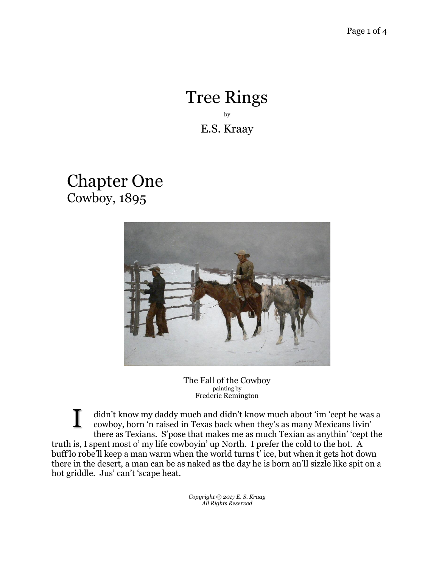## Tree Rings by E.S. Kraay

## Chapter One Cowboy, 1895



The Fall of the Cowboy painting by Frederic Remington

didn't know my daddy much and didn't know much about 'im 'cept he was a cowboy, born 'n raised in Texas back when they's as many Mexicans livin' there as Texians. S'pose that makes me as much Texian as anythin' 'cept the truth is, I spent most o' my life cowboyin' up North. I prefer the cold to the hot. A buff'lo robe'll keep a man warm when the world turns t' ice, but when it gets hot down there in the desert, a man can be as naked as the day he is born an'll sizzle like spit on a hot griddle. Jus' can't 'scape heat. I

> *Copyright © 2017 E. S. Kraay All Rights Reserved*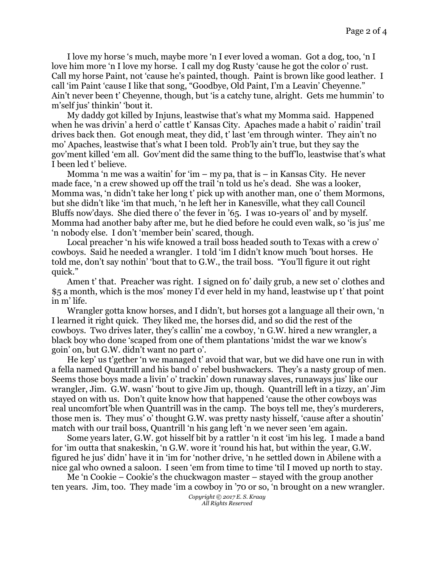I love my horse 's much, maybe more 'n I ever loved a woman. Got a dog, too, 'n I love him more 'n I love my horse. I call my dog Rusty 'cause he got the color o' rust. Call my horse Paint, not 'cause he's painted, though. Paint is brown like good leather. I call 'im Paint 'cause I like that song, "Goodbye, Old Paint, I'm a Leavin' Cheyenne." Ain't never been t' Cheyenne, though, but 'is a catchy tune, alright. Gets me hummin' to m'self jus' thinkin' 'bout it.

My daddy got killed by Injuns, leastwise that's what my Momma said. Happened when he was drivin' a herd o' cattle t' Kansas City. Apaches made a habit o' raidin' trail drives back then. Got enough meat, they did, t' last 'em through winter. They ain't no mo' Apaches, leastwise that's what I been told. Prob'ly ain't true, but they say the gov'ment killed 'em all. Gov'ment did the same thing to the buff'lo, leastwise that's what I been led t' believe.

Momma 'n me was a waitin' for 'im – my pa, that is – in Kansas City. He never made face, 'n a crew showed up off the trail 'n told us he's dead. She was a looker, Momma was, 'n didn't take her long t' pick up with another man, one o' them Mormons, but she didn't like 'im that much, 'n he left her in Kanesville, what they call Council Bluffs now'days. She died there o' the fever in '65. I was 10-years ol' and by myself. Momma had another baby after me, but he died before he could even walk, so 'is jus' me 'n nobody else. I don't 'member bein' scared, though.

Local preacher 'n his wife knowed a trail boss headed south to Texas with a crew o' cowboys. Said he needed a wrangler. I told 'im I didn't know much 'bout horses. He told me, don't say nothin' 'bout that to G.W., the trail boss. "You'll figure it out right quick."

Amen t' that. Preacher was right. I signed on fo' daily grub, a new set o' clothes and \$5 a month, which is the mos' money I'd ever held in my hand, leastwise up t' that point in m' life.

Wrangler gotta know horses, and I didn't, but horses got a language all their own, 'n I learned it right quick. They liked me, the horses did, and so did the rest of the cowboys. Two drives later, they's callin' me a cowboy, 'n G.W. hired a new wrangler, a black boy who done 'scaped from one of them plantations 'midst the war we know's goin' on, but G.W. didn't want no part o'.

He kep' us t'gether 'n we managed t' avoid that war, but we did have one run in with a fella named Quantrill and his band o' rebel bushwackers. They's a nasty group of men. Seems those boys made a livin' o' trackin' down runaway slaves, runaways jus' like our wrangler, Jim. G.W. wasn' 'bout to give Jim up, though. Quantrill left in a tizzy, an' Jim stayed on with us. Don't quite know how that happened 'cause the other cowboys was real uncomfort'ble when Quantrill was in the camp. The boys tell me, they's murderers, those men is. They mus' o' thought G.W. was pretty nasty hisself, 'cause after a shoutin' match with our trail boss, Quantrill 'n his gang left 'n we never seen 'em again.

Some years later, G.W. got hisself bit by a rattler 'n it cost 'im his leg. I made a band for 'im outta that snakeskin, 'n G.W. wore it 'round his hat, but within the year, G.W. figured he jus' didn' have it in 'im for 'nother drive, 'n he settled down in Abilene with a nice gal who owned a saloon. I seen 'em from time to time 'til I moved up north to stay.

Me 'n Cookie – Cookie's the chuckwagon master – stayed with the group another ten years. Jim, too. They made 'im a cowboy in '70 or so, 'n brought on a new wrangler.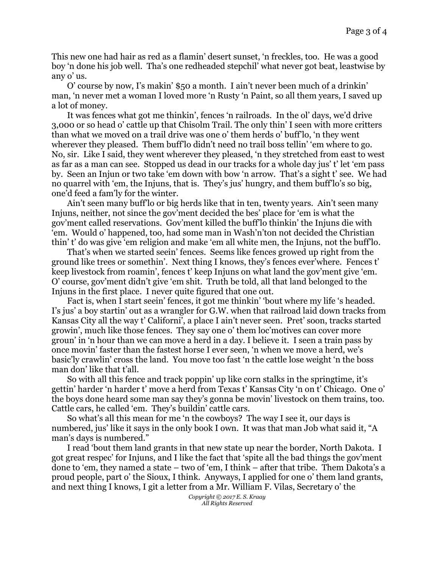This new one had hair as red as a flamin' desert sunset, 'n freckles, too. He was a good boy 'n done his job well. Tha's one redheaded stepchil' what never got beat, leastwise by any o' us.

O' course by now, I's makin' \$50 a month. I ain't never been much of a drinkin' man, 'n never met a woman I loved more 'n Rusty 'n Paint, so all them years, I saved up a lot of money.

It was fences what got me thinkin', fences 'n railroads. In the ol' days, we'd drive 3,000 or so head o' cattle up that Chisolm Trail. The only thin' I seen with more critters than what we moved on a trail drive was one o' them herds o' buff'lo, 'n they went wherever they pleased. Them buff'lo didn't need no trail boss tellin' 'em where to go. No, sir. Like I said, they went wherever they pleased, 'n they stretched from east to west as far as a man can see. Stopped us dead in our tracks for a whole day jus' t' let 'em pass by. Seen an Injun or two take 'em down with bow 'n arrow. That's a sight t' see. We had no quarrel with 'em, the Injuns, that is. They's jus' hungry, and them buff'lo's so big, one'd feed a fam'ly for the winter.

Ain't seen many buff'lo or big herds like that in ten, twenty years. Ain't seen many Injuns, neither, not since the gov'ment decided the bes' place for 'em is what the gov'ment called reservations. Gov'ment killed the buff'lo thinkin' the Injuns die with 'em. Would o' happened, too, had some man in Wash'n'ton not decided the Christian thin' t' do was give 'em religion and make 'em all white men, the Injuns, not the buff'lo.

That's when we started seein' fences. Seems like fences growed up right from the ground like trees or somethin'. Next thing I knows, they's fences ever'where. Fences t' keep livestock from roamin', fences t' keep Injuns on what land the gov'ment give 'em. O' course, gov'ment didn't give 'em shit. Truth be told, all that land belonged to the Injuns in the first place. I never quite figured that one out.

Fact is, when I start seein' fences, it got me thinkin' 'bout where my life 's headed. I's jus' a boy startin' out as a wrangler for G.W. when that railroad laid down tracks from Kansas City all the way t' Californi', a place I ain't never seen. Pret' soon, tracks started growin', much like those fences. They say one o' them loc'motives can cover more groun' in 'n hour than we can move a herd in a day. I believe it. I seen a train pass by once movin' faster than the fastest horse I ever seen, 'n when we move a herd, we's basic'ly crawlin' cross the land. You move too fast 'n the cattle lose weight 'n the boss man don' like that t'all.

So with all this fence and track poppin' up like corn stalks in the springtime, it's gettin' harder 'n harder t' move a herd from Texas t' Kansas City 'n on t' Chicago. One o' the boys done heard some man say they's gonna be movin' livestock on them trains, too. Cattle cars, he called 'em. They's buildin' cattle cars.

So what's all this mean for me 'n the cowboys? The way I see it, our days is numbered, jus' like it says in the only book I own. It was that man Job what said it, "A man's days is numbered."

I read 'bout them land grants in that new state up near the border, North Dakota. I got great respec' for Injuns, and I like the fact that 'spite all the bad things the gov'ment done to 'em, they named a state – two of 'em, I think – after that tribe. Them Dakota's a proud people, part o' the Sioux, I think. Anyways, I applied for one o' them land grants, and next thing I knows, I git a letter from a Mr. William F. Vilas, Secretary o' the